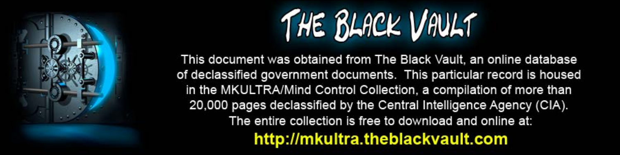

This document was obtained from The Black Vault, an online database of declassified government documents. This particular record is housed in the MKULTRA/Mind Control Collection, a compilation of more than 20,000 pages declassified by the Central Intelligence Agency (CIA). The entire collection is free to download and online at: http://mkultra.theblackvault.com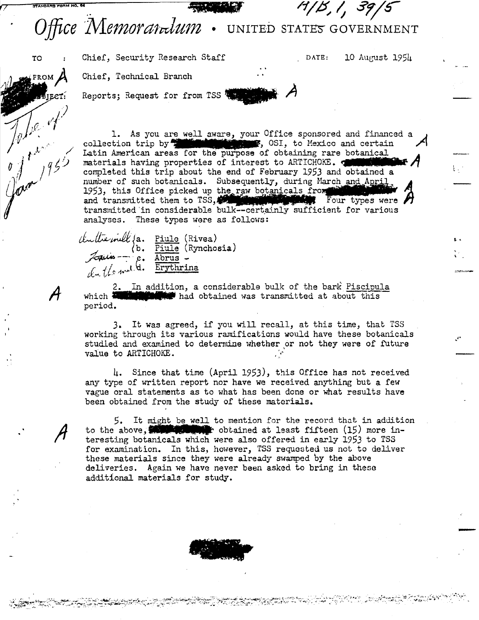## <sup>14</sup>/B, 1, 39, Office Memoranum . UNITED STATES GOVERNMENT

Chief, Security Research Staff

DATE: 10 August 1954

Chief, Technical Branch

**TO** 

FROM

John of

Reports; Request for from TSS 4

1. As you are well aware, your Office sponsored and financed a collection trip by **the manufacture**, OSI, to Mexico and certain Latin American areas for the purpose of obtaining rare botanical materials having properties of interest to ARTICHOKE. completed this trip about the end of February 1953 and obtained a number of such botanicals. Subsequently, during March and April 1953, this Office picked up the raw botanicals from the search and transmitted them to TSS, and transmitted them to TSS, the certainly sufficient for various analyses. These types were as follows:

Cultervill Ja. Piulo (Rivea)<br>Latin - e. Abrus -<br>Luis - e. Abrus -<br>Luis the Erythrina

2. In addition, a considerable bulk of the bark Piscipula which **E** that had obtained was transmitted at about this period.

3. It was agreed, if you will recall, at this time, that TSS working through its various ramifications would have these botanicals studied and examined to determine whether or not they were of future value to ARTICHOKE.

4. Since that time (April 1953), this Office has not received any type of written report nor have we received anything but a few vague oral statements as to what has been done or what results have been obtained from the study of these materials.

It might be well to mention for the record that in addition 5. to the above, **With the Southern Contained** at least fifteen (15) more interesting botanicals which were also offered in early 1953 to TSS for examination. In this, however, TSS requested us not to deliver these materials since they were already swamped by the above deliveries. Again we have never been asked to bring in these additional materials for study.